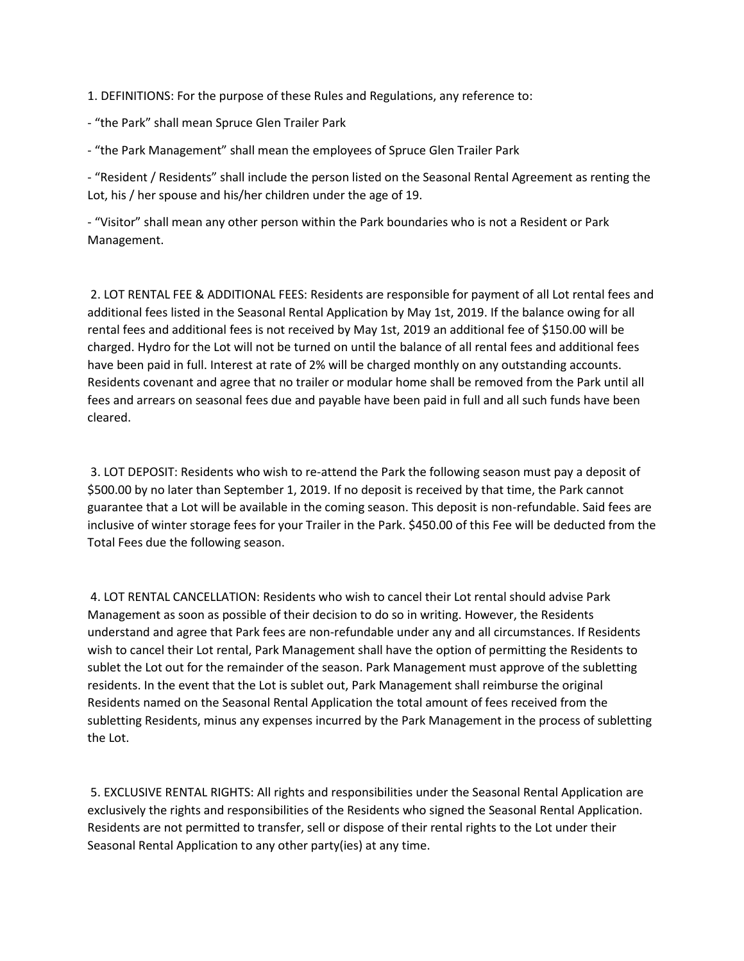1. DEFINITIONS: For the purpose of these Rules and Regulations, any reference to:

- "the Park" shall mean Spruce Glen Trailer Park

- "the Park Management" shall mean the employees of Spruce Glen Trailer Park

- "Resident / Residents" shall include the person listed on the Seasonal Rental Agreement as renting the Lot, his / her spouse and his/her children under the age of 19.

- "Visitor" shall mean any other person within the Park boundaries who is not a Resident or Park Management.

2. LOT RENTAL FEE & ADDITIONAL FEES: Residents are responsible for payment of all Lot rental fees and additional fees listed in the Seasonal Rental Application by May 1st, 2019. If the balance owing for all rental fees and additional fees is not received by May 1st, 2019 an additional fee of \$150.00 will be charged. Hydro for the Lot will not be turned on until the balance of all rental fees and additional fees have been paid in full. Interest at rate of 2% will be charged monthly on any outstanding accounts. Residents covenant and agree that no trailer or modular home shall be removed from the Park until all fees and arrears on seasonal fees due and payable have been paid in full and all such funds have been cleared.

3. LOT DEPOSIT: Residents who wish to re-attend the Park the following season must pay a deposit of \$500.00 by no later than September 1, 2019. If no deposit is received by that time, the Park cannot guarantee that a Lot will be available in the coming season. This deposit is non-refundable. Said fees are inclusive of winter storage fees for your Trailer in the Park. \$450.00 of this Fee will be deducted from the Total Fees due the following season.

4. LOT RENTAL CANCELLATION: Residents who wish to cancel their Lot rental should advise Park Management as soon as possible of their decision to do so in writing. However, the Residents understand and agree that Park fees are non-refundable under any and all circumstances. If Residents wish to cancel their Lot rental, Park Management shall have the option of permitting the Residents to sublet the Lot out for the remainder of the season. Park Management must approve of the subletting residents. In the event that the Lot is sublet out, Park Management shall reimburse the original Residents named on the Seasonal Rental Application the total amount of fees received from the subletting Residents, minus any expenses incurred by the Park Management in the process of subletting the Lot.

5. EXCLUSIVE RENTAL RIGHTS: All rights and responsibilities under the Seasonal Rental Application are exclusively the rights and responsibilities of the Residents who signed the Seasonal Rental Application. Residents are not permitted to transfer, sell or dispose of their rental rights to the Lot under their Seasonal Rental Application to any other party(ies) at any time.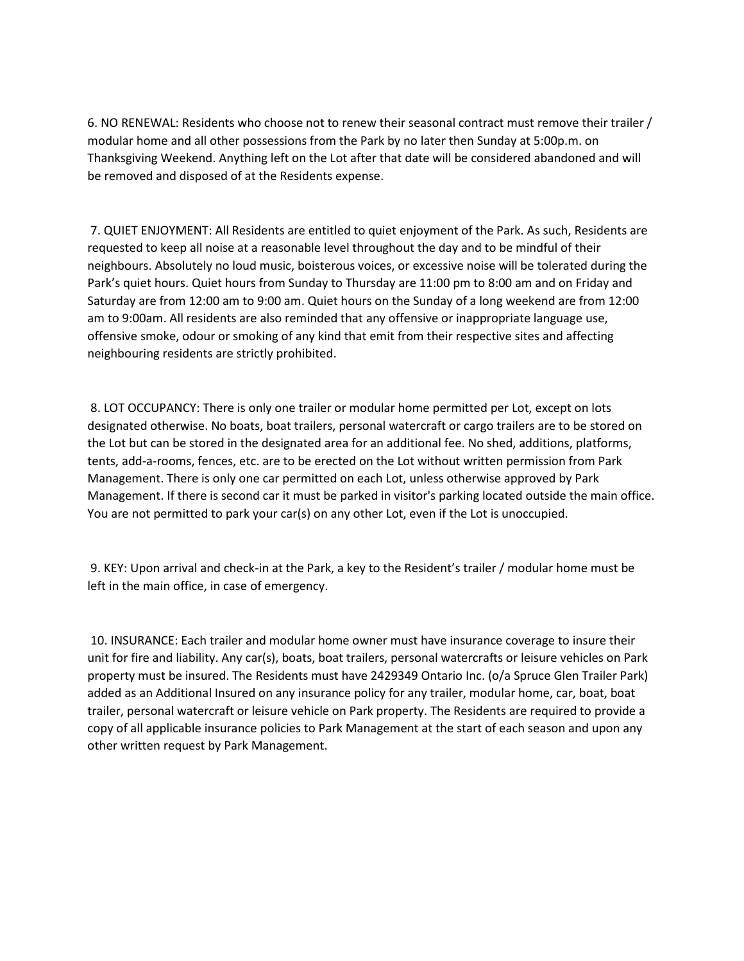6. NO RENEWAL: Residents who choose not to renew their seasonal contract must remove their trailer / modular home and all other possessions from the Park by no later then Sunday at 5:00p.m. on Thanksgiving Weekend. Anything left on the Lot after that date will be considered abandoned and will be removed and disposed of at the Residents expense.

7. QUIET ENJOYMENT: All Residents are entitled to quiet enjoyment of the Park. As such, Residents are requested to keep all noise at a reasonable level throughout the day and to be mindful of their neighbours. Absolutely no loud music, boisterous voices, or excessive noise will be tolerated during the Park's quiet hours. Quiet hours from Sunday to Thursday are 11:00 pm to 8:00 am and on Friday and Saturday are from 12:00 am to 9:00 am. Quiet hours on the Sunday of a long weekend are from 12:00 am to 9:00am. All residents are also reminded that any offensive or inappropriate language use, offensive smoke, odour or smoking of any kind that emit from their respective sites and affecting neighbouring residents are strictly prohibited.

8. LOT OCCUPANCY: There is only one trailer or modular home permitted per Lot, except on lots designated otherwise. No boats, boat trailers, personal watercraft or cargo trailers are to be stored on the Lot but can be stored in the designated area for an additional fee. No shed, additions, platforms, tents, add-a-rooms, fences, etc. are to be erected on the Lot without written permission from Park Management. There is only one car permitted on each Lot, unless otherwise approved by Park Management. If there is second car it must be parked in visitor's parking located outside the main office. You are not permitted to park your car(s) on any other Lot, even if the Lot is unoccupied.

9. KEY: Upon arrival and check-in at the Park, a key to the Resident's trailer / modular home must be left in the main office, in case of emergency.

10. INSURANCE: Each trailer and modular home owner must have insurance coverage to insure their unit for fire and liability. Any car(s), boats, boat trailers, personal watercrafts or leisure vehicles on Park property must be insured. The Residents must have 2429349 Ontario Inc. (o/a Spruce Glen Trailer Park) added as an Additional Insured on any insurance policy for any trailer, modular home, car, boat, boat trailer, personal watercraft or leisure vehicle on Park property. The Residents are required to provide a copy of all applicable insurance policies to Park Management at the start of each season and upon any other written request by Park Management.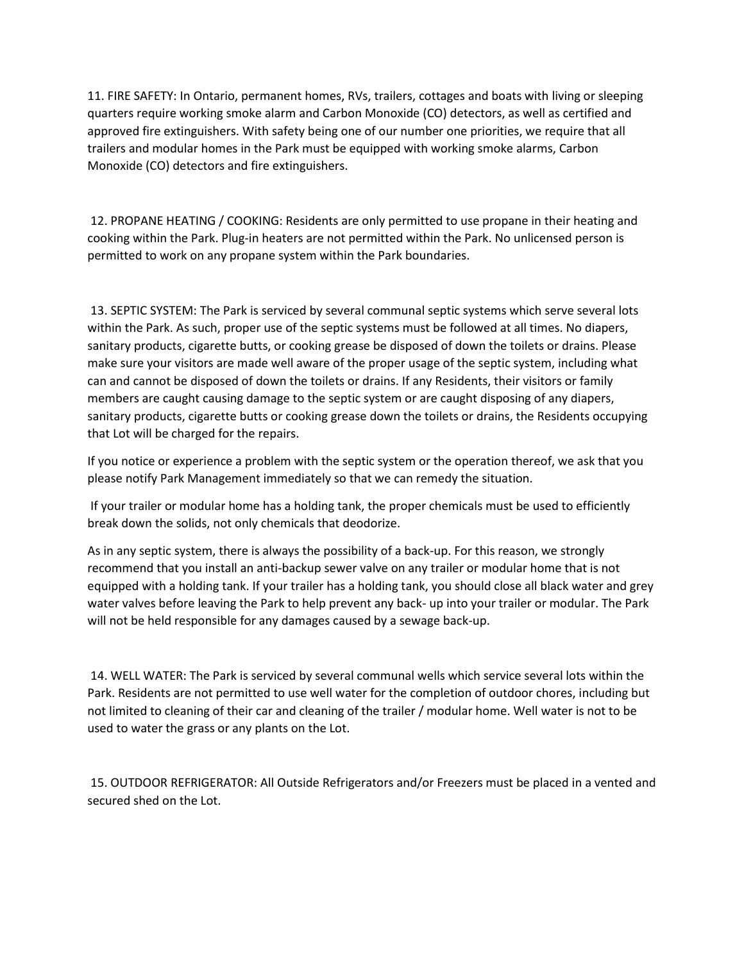11. FIRE SAFETY: In Ontario, permanent homes, RVs, trailers, cottages and boats with living or sleeping quarters require working smoke alarm and Carbon Monoxide (CO) detectors, as well as certified and approved fire extinguishers. With safety being one of our number one priorities, we require that all trailers and modular homes in the Park must be equipped with working smoke alarms, Carbon Monoxide (CO) detectors and fire extinguishers.

12. PROPANE HEATING / COOKING: Residents are only permitted to use propane in their heating and cooking within the Park. Plug-in heaters are not permitted within the Park. No unlicensed person is permitted to work on any propane system within the Park boundaries.

13. SEPTIC SYSTEM: The Park is serviced by several communal septic systems which serve several lots within the Park. As such, proper use of the septic systems must be followed at all times. No diapers, sanitary products, cigarette butts, or cooking grease be disposed of down the toilets or drains. Please make sure your visitors are made well aware of the proper usage of the septic system, including what can and cannot be disposed of down the toilets or drains. If any Residents, their visitors or family members are caught causing damage to the septic system or are caught disposing of any diapers, sanitary products, cigarette butts or cooking grease down the toilets or drains, the Residents occupying that Lot will be charged for the repairs.

If you notice or experience a problem with the septic system or the operation thereof, we ask that you please notify Park Management immediately so that we can remedy the situation.

If your trailer or modular home has a holding tank, the proper chemicals must be used to efficiently break down the solids, not only chemicals that deodorize.

As in any septic system, there is always the possibility of a back-up. For this reason, we strongly recommend that you install an anti-backup sewer valve on any trailer or modular home that is not equipped with a holding tank. If your trailer has a holding tank, you should close all black water and grey water valves before leaving the Park to help prevent any back- up into your trailer or modular. The Park will not be held responsible for any damages caused by a sewage back-up.

14. WELL WATER: The Park is serviced by several communal wells which service several lots within the Park. Residents are not permitted to use well water for the completion of outdoor chores, including but not limited to cleaning of their car and cleaning of the trailer / modular home. Well water is not to be used to water the grass or any plants on the Lot.

15. OUTDOOR REFRIGERATOR: All Outside Refrigerators and/or Freezers must be placed in a vented and secured shed on the Lot.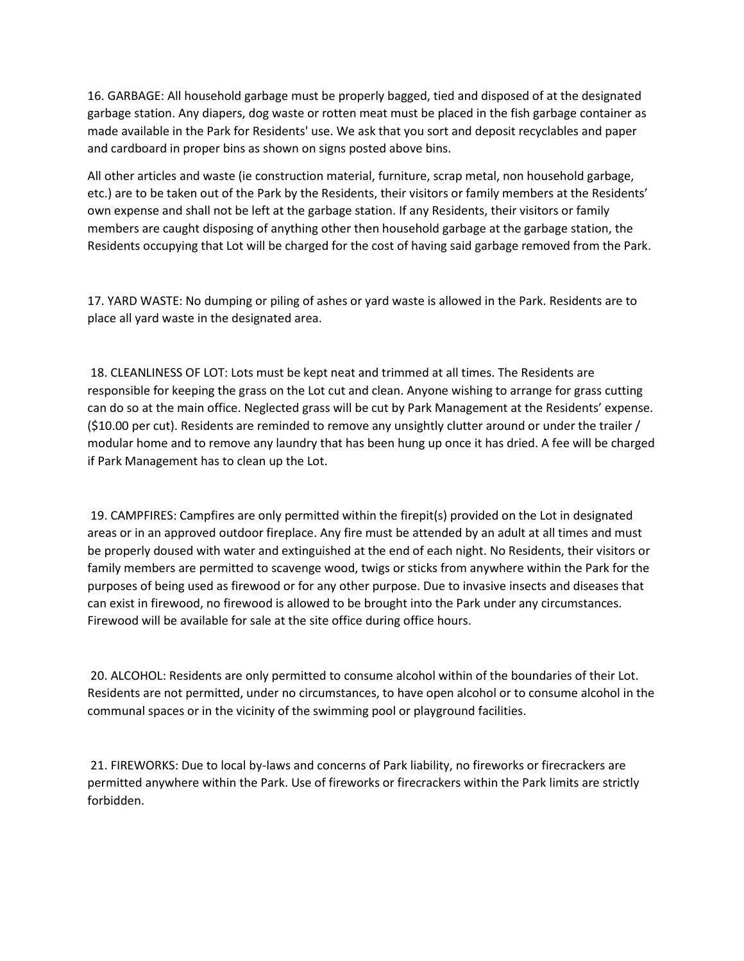16. GARBAGE: All household garbage must be properly bagged, tied and disposed of at the designated garbage station. Any diapers, dog waste or rotten meat must be placed in the fish garbage container as made available in the Park for Residents' use. We ask that you sort and deposit recyclables and paper and cardboard in proper bins as shown on signs posted above bins.

All other articles and waste (ie construction material, furniture, scrap metal, non household garbage, etc.) are to be taken out of the Park by the Residents, their visitors or family members at the Residents' own expense and shall not be left at the garbage station. If any Residents, their visitors or family members are caught disposing of anything other then household garbage at the garbage station, the Residents occupying that Lot will be charged for the cost of having said garbage removed from the Park.

17. YARD WASTE: No dumping or piling of ashes or yard waste is allowed in the Park. Residents are to place all yard waste in the designated area.

18. CLEANLINESS OF LOT: Lots must be kept neat and trimmed at all times. The Residents are responsible for keeping the grass on the Lot cut and clean. Anyone wishing to arrange for grass cutting can do so at the main office. Neglected grass will be cut by Park Management at the Residents' expense. (\$10.00 per cut). Residents are reminded to remove any unsightly clutter around or under the trailer / modular home and to remove any laundry that has been hung up once it has dried. A fee will be charged if Park Management has to clean up the Lot.

19. CAMPFIRES: Campfires are only permitted within the firepit(s) provided on the Lot in designated areas or in an approved outdoor fireplace. Any fire must be attended by an adult at all times and must be properly doused with water and extinguished at the end of each night. No Residents, their visitors or family members are permitted to scavenge wood, twigs or sticks from anywhere within the Park for the purposes of being used as firewood or for any other purpose. Due to invasive insects and diseases that can exist in firewood, no firewood is allowed to be brought into the Park under any circumstances. Firewood will be available for sale at the site office during office hours.

20. ALCOHOL: Residents are only permitted to consume alcohol within of the boundaries of their Lot. Residents are not permitted, under no circumstances, to have open alcohol or to consume alcohol in the communal spaces or in the vicinity of the swimming pool or playground facilities.

21. FIREWORKS: Due to local by-laws and concerns of Park liability, no fireworks or firecrackers are permitted anywhere within the Park. Use of fireworks or firecrackers within the Park limits are strictly forbidden.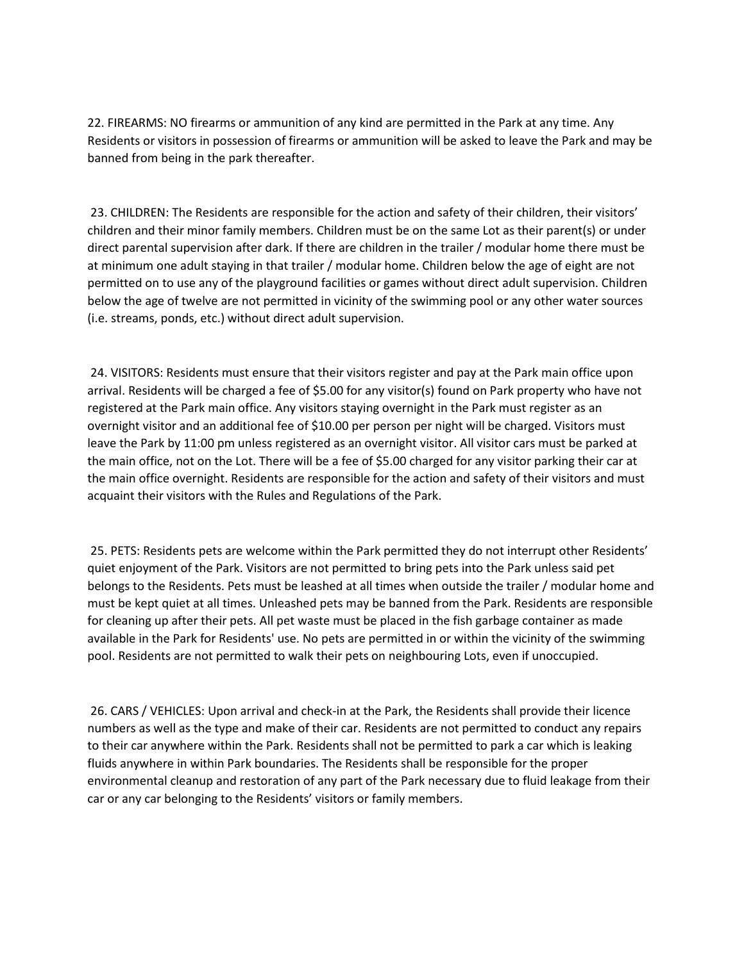22. FIREARMS: NO firearms or ammunition of any kind are permitted in the Park at any time. Any Residents or visitors in possession of firearms or ammunition will be asked to leave the Park and may be banned from being in the park thereafter.

23. CHILDREN: The Residents are responsible for the action and safety of their children, their visitors' children and their minor family members. Children must be on the same Lot as their parent(s) or under direct parental supervision after dark. If there are children in the trailer / modular home there must be at minimum one adult staying in that trailer / modular home. Children below the age of eight are not permitted on to use any of the playground facilities or games without direct adult supervision. Children below the age of twelve are not permitted in vicinity of the swimming pool or any other water sources (i.e. streams, ponds, etc.) without direct adult supervision.

24. VISITORS: Residents must ensure that their visitors register and pay at the Park main office upon arrival. Residents will be charged a fee of \$5.00 for any visitor(s) found on Park property who have not registered at the Park main office. Any visitors staying overnight in the Park must register as an overnight visitor and an additional fee of \$10.00 per person per night will be charged. Visitors must leave the Park by 11:00 pm unless registered as an overnight visitor. All visitor cars must be parked at the main office, not on the Lot. There will be a fee of \$5.00 charged for any visitor parking their car at the main office overnight. Residents are responsible for the action and safety of their visitors and must acquaint their visitors with the Rules and Regulations of the Park.

25. PETS: Residents pets are welcome within the Park permitted they do not interrupt other Residents' quiet enjoyment of the Park. Visitors are not permitted to bring pets into the Park unless said pet belongs to the Residents. Pets must be leashed at all times when outside the trailer / modular home and must be kept quiet at all times. Unleashed pets may be banned from the Park. Residents are responsible for cleaning up after their pets. All pet waste must be placed in the fish garbage container as made available in the Park for Residents' use. No pets are permitted in or within the vicinity of the swimming pool. Residents are not permitted to walk their pets on neighbouring Lots, even if unoccupied.

26. CARS / VEHICLES: Upon arrival and check-in at the Park, the Residents shall provide their licence numbers as well as the type and make of their car. Residents are not permitted to conduct any repairs to their car anywhere within the Park. Residents shall not be permitted to park a car which is leaking fluids anywhere in within Park boundaries. The Residents shall be responsible for the proper environmental cleanup and restoration of any part of the Park necessary due to fluid leakage from their car or any car belonging to the Residents' visitors or family members.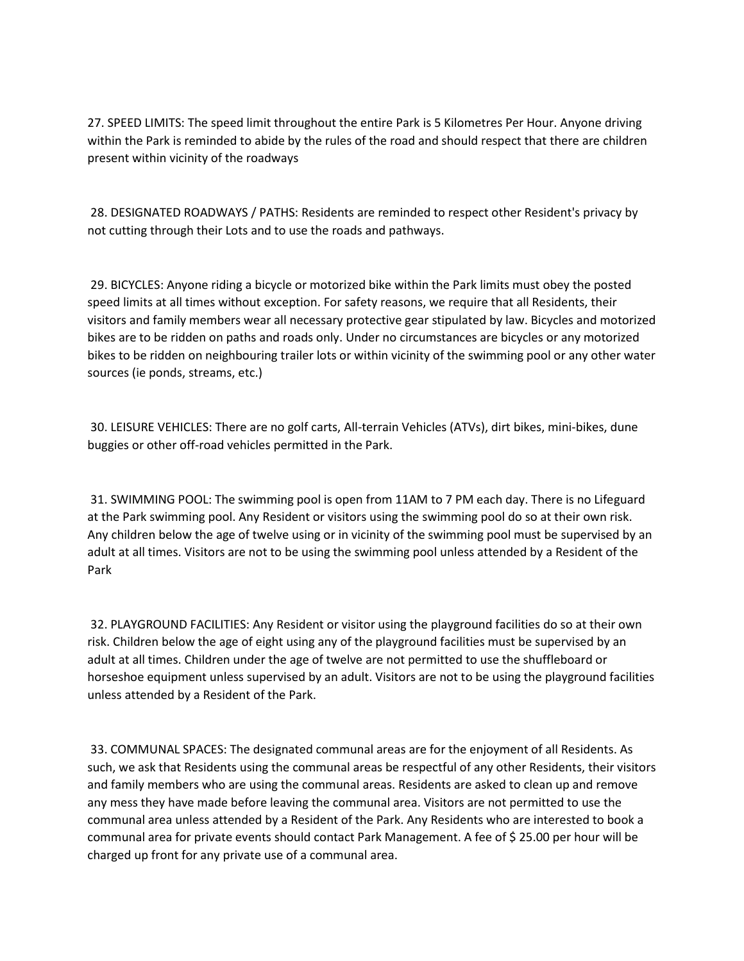27. SPEED LIMITS: The speed limit throughout the entire Park is 5 Kilometres Per Hour. Anyone driving within the Park is reminded to abide by the rules of the road and should respect that there are children present within vicinity of the roadways

28. DESIGNATED ROADWAYS / PATHS: Residents are reminded to respect other Resident's privacy by not cutting through their Lots and to use the roads and pathways.

29. BICYCLES: Anyone riding a bicycle or motorized bike within the Park limits must obey the posted speed limits at all times without exception. For safety reasons, we require that all Residents, their visitors and family members wear all necessary protective gear stipulated by law. Bicycles and motorized bikes are to be ridden on paths and roads only. Under no circumstances are bicycles or any motorized bikes to be ridden on neighbouring trailer lots or within vicinity of the swimming pool or any other water sources (ie ponds, streams, etc.)

30. LEISURE VEHICLES: There are no golf carts, All-terrain Vehicles (ATVs), dirt bikes, mini-bikes, dune buggies or other off-road vehicles permitted in the Park.

31. SWIMMING POOL: The swimming pool is open from 11AM to 7 PM each day. There is no Lifeguard at the Park swimming pool. Any Resident or visitors using the swimming pool do so at their own risk. Any children below the age of twelve using or in vicinity of the swimming pool must be supervised by an adult at all times. Visitors are not to be using the swimming pool unless attended by a Resident of the Park

32. PLAYGROUND FACILITIES: Any Resident or visitor using the playground facilities do so at their own risk. Children below the age of eight using any of the playground facilities must be supervised by an adult at all times. Children under the age of twelve are not permitted to use the shuffleboard or horseshoe equipment unless supervised by an adult. Visitors are not to be using the playground facilities unless attended by a Resident of the Park.

33. COMMUNAL SPACES: The designated communal areas are for the enjoyment of all Residents. As such, we ask that Residents using the communal areas be respectful of any other Residents, their visitors and family members who are using the communal areas. Residents are asked to clean up and remove any mess they have made before leaving the communal area. Visitors are not permitted to use the communal area unless attended by a Resident of the Park. Any Residents who are interested to book a communal area for private events should contact Park Management. A fee of \$ 25.00 per hour will be charged up front for any private use of a communal area.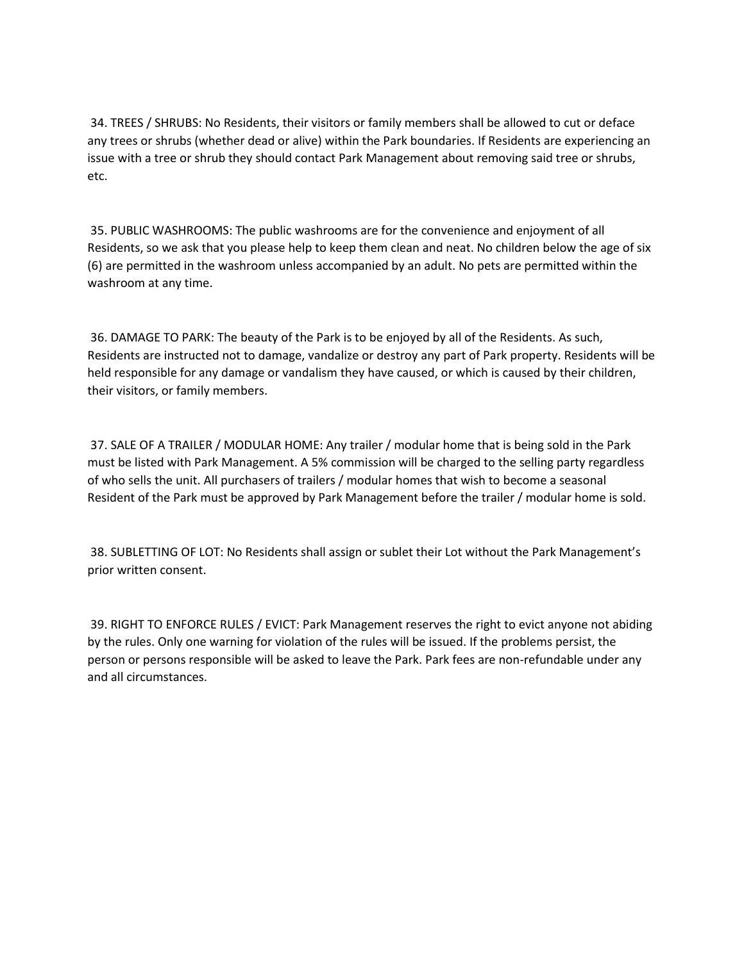34. TREES / SHRUBS: No Residents, their visitors or family members shall be allowed to cut or deface any trees or shrubs (whether dead or alive) within the Park boundaries. If Residents are experiencing an issue with a tree or shrub they should contact Park Management about removing said tree or shrubs, etc.

35. PUBLIC WASHROOMS: The public washrooms are for the convenience and enjoyment of all Residents, so we ask that you please help to keep them clean and neat. No children below the age of six (6) are permitted in the washroom unless accompanied by an adult. No pets are permitted within the washroom at any time.

36. DAMAGE TO PARK: The beauty of the Park is to be enjoyed by all of the Residents. As such, Residents are instructed not to damage, vandalize or destroy any part of Park property. Residents will be held responsible for any damage or vandalism they have caused, or which is caused by their children, their visitors, or family members.

37. SALE OF A TRAILER / MODULAR HOME: Any trailer / modular home that is being sold in the Park must be listed with Park Management. A 5% commission will be charged to the selling party regardless of who sells the unit. All purchasers of trailers / modular homes that wish to become a seasonal Resident of the Park must be approved by Park Management before the trailer / modular home is sold.

38. SUBLETTING OF LOT: No Residents shall assign or sublet their Lot without the Park Management's prior written consent.

39. RIGHT TO ENFORCE RULES / EVICT: Park Management reserves the right to evict anyone not abiding by the rules. Only one warning for violation of the rules will be issued. If the problems persist, the person or persons responsible will be asked to leave the Park. Park fees are non-refundable under any and all circumstances.